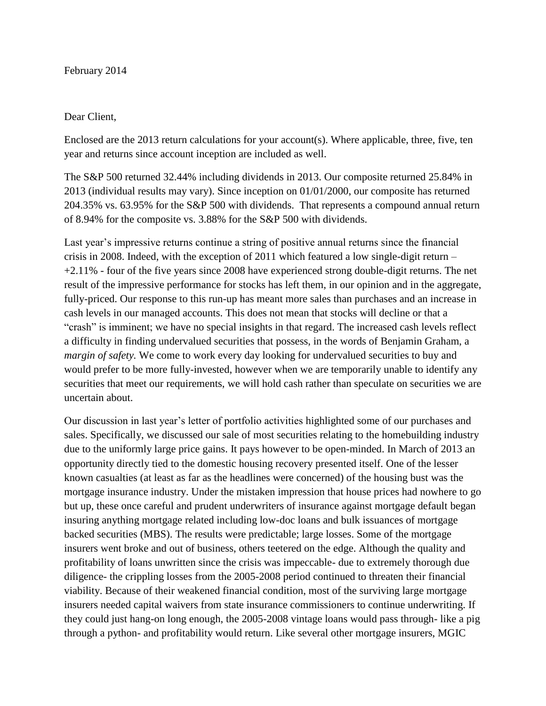## February 2014

## Dear Client,

Enclosed are the 2013 return calculations for your account(s). Where applicable, three, five, ten year and returns since account inception are included as well.

The S&P 500 returned 32.44% including dividends in 2013. Our composite returned 25.84% in 2013 (individual results may vary). Since inception on 01/01/2000, our composite has returned 204.35% vs. 63.95% for the S&P 500 with dividends. That represents a compound annual return of 8.94% for the composite vs. 3.88% for the S&P 500 with dividends.

Last year's impressive returns continue a string of positive annual returns since the financial crisis in 2008. Indeed, with the exception of 2011 which featured a low single-digit return – +2.11% - four of the five years since 2008 have experienced strong double-digit returns. The net result of the impressive performance for stocks has left them, in our opinion and in the aggregate, fully-priced. Our response to this run-up has meant more sales than purchases and an increase in cash levels in our managed accounts. This does not mean that stocks will decline or that a "crash" is imminent; we have no special insights in that regard. The increased cash levels reflect a difficulty in finding undervalued securities that possess, in the words of Benjamin Graham, a *margin of safety*. We come to work every day looking for undervalued securities to buy and would prefer to be more fully-invested, however when we are temporarily unable to identify any securities that meet our requirements, we will hold cash rather than speculate on securities we are uncertain about.

Our discussion in last year's letter of portfolio activities highlighted some of our purchases and sales. Specifically, we discussed our sale of most securities relating to the homebuilding industry due to the uniformly large price gains. It pays however to be open-minded. In March of 2013 an opportunity directly tied to the domestic housing recovery presented itself. One of the lesser known casualties (at least as far as the headlines were concerned) of the housing bust was the mortgage insurance industry. Under the mistaken impression that house prices had nowhere to go but up, these once careful and prudent underwriters of insurance against mortgage default began insuring anything mortgage related including low-doc loans and bulk issuances of mortgage backed securities (MBS). The results were predictable; large losses. Some of the mortgage insurers went broke and out of business, others teetered on the edge. Although the quality and profitability of loans unwritten since the crisis was impeccable- due to extremely thorough due diligence- the crippling losses from the 2005-2008 period continued to threaten their financial viability. Because of their weakened financial condition, most of the surviving large mortgage insurers needed capital waivers from state insurance commissioners to continue underwriting. If they could just hang-on long enough, the 2005-2008 vintage loans would pass through- like a pig through a python- and profitability would return. Like several other mortgage insurers, MGIC